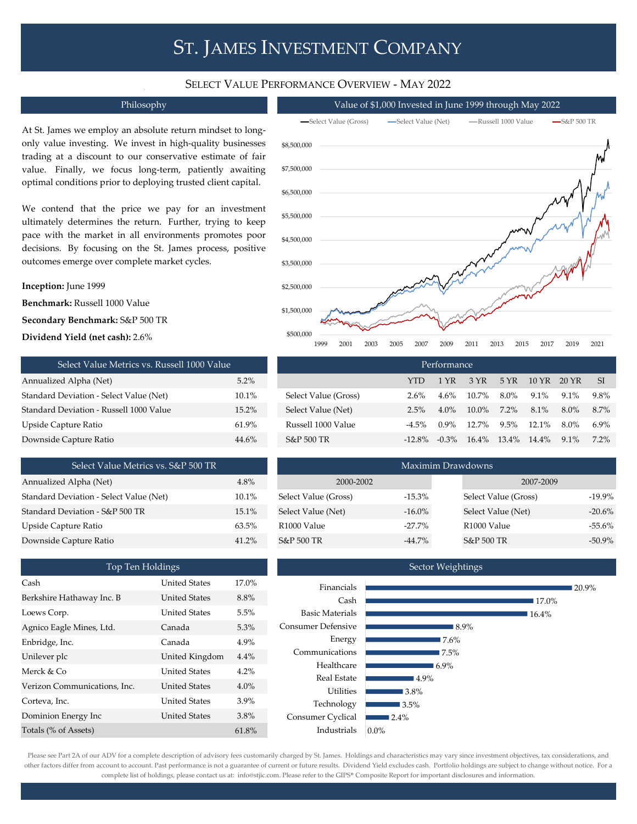# ST. JAMES INVESTMENT COMPANY

### SELECT VALUE PERFORMANCE OVERVIEW - MAY 2022

At St. James we employ an absolute return mindset to longonly value investing. We invest in high-quality businesses trading at a discount to our conservative estimate of fair value. Finally, we focus long-term, patiently awaiting optimal conditions prior to deploying trusted client capital.

We contend that the price we pay for an investment ultimately determines the return. Further, trying to keep pace with the market in all environments promotes poor decisions. By focusing on the St. James process, positive outcomes emerge over complete market cycles.

### **Inception:** June 1999

**Benchmark:** Russell 1000 Value

**Secondary Benchmark:** S&P 500 TR

**Dividend Yield (net cash):** 2.6%

| Select Value Metrics vs. Russell 1000 Value | Performance |                       |            |              |     |  |  |
|---------------------------------------------|-------------|-----------------------|------------|--------------|-----|--|--|
| Annualized Alpha (Net)                      | $5.2\%$     |                       | <b>YTD</b> | 1 YR         | - 3 |  |  |
| Standard Deviation - Select Value (Net)     | 10.1%       | Select Value (Gross)  | 2.6%       | $4.6\% - 10$ |     |  |  |
| Standard Deviation - Russell 1000 Value     | $15.2\%$    | Select Value (Net)    | $2.5\%$    | $4.0\% - 10$ |     |  |  |
| Upside Capture Ratio                        | 61.9%       | Russell 1000 Value    | $-4.5\%$   | $0.9\% - 11$ |     |  |  |
| Downside Capture Ratio                      | 44.6%       | <b>S&amp;P 500 TR</b> | $-12.8\%$  | $-0.3\%$ 1   |     |  |  |

| Select Value Metrics vs. S&P 500 TR     |       |
|-----------------------------------------|-------|
| Annualized Alpha (Net)                  | 4.8%  |
| Standard Deviation - Select Value (Net) | 10.1% |
| Standard Deviation - S&P 500 TR         | 15.1% |
| Upside Capture Ratio                    | 63.5% |
| Downside Capture Ratio                  | 41 2% |

| Top Ten Holdings             |                      |         |  |  |  |  |  |  |
|------------------------------|----------------------|---------|--|--|--|--|--|--|
| Cash                         | <b>United States</b> | 17.0%   |  |  |  |  |  |  |
| Berkshire Hathaway Inc. B    | <b>United States</b> | 8.8%    |  |  |  |  |  |  |
| Loews Corp.                  | <b>United States</b> | 5.5%    |  |  |  |  |  |  |
| Agnico Eagle Mines, Ltd.     | Canada               | 5.3%    |  |  |  |  |  |  |
| Enbridge, Inc.               | Canada               | 4.9%    |  |  |  |  |  |  |
| Unilever plc                 | United Kingdom       | $4.4\%$ |  |  |  |  |  |  |
| Merck & Co                   | <b>United States</b> | $4.2\%$ |  |  |  |  |  |  |
| Verizon Communications, Inc. | <b>United States</b> | $4.0\%$ |  |  |  |  |  |  |
| Corteva, Inc.                | <b>United States</b> | $3.9\%$ |  |  |  |  |  |  |
| Dominion Energy Inc          | <b>United States</b> | 3.8%    |  |  |  |  |  |  |
| Totals (% of Assets)         |                      | 61.8%   |  |  |  |  |  |  |



| - SI    |
|---------|
| 9.8%    |
| 8.7%    |
| 6.9%    |
| $7.2\%$ |
|         |

| Select Value Metrics vs. S&P 500 TR     |       | Maximim Drawdowns       |           |                      |           |  |  |  |
|-----------------------------------------|-------|-------------------------|-----------|----------------------|-----------|--|--|--|
| Annualized Alpha (Net)                  | 4.8%  | 2000-2002               |           | 2007-2009            |           |  |  |  |
| Standard Deviation - Select Value (Net) | 10.1% | Select Value (Gross)    | $-15.3\%$ | Select Value (Gross) | $-19.9\%$ |  |  |  |
| Standard Deviation - S&P 500 TR         | 15.1% | Select Value (Net)      | $-16.0\%$ | Select Value (Net)   | $-20.6\%$ |  |  |  |
| Upside Capture Ratio                    | 63.5% | R <sub>1000</sub> Value | $-27.7\%$ | R1000 Value          | $-55.6\%$ |  |  |  |
| Downside Capture Ratio                  | 41.2% | S&P 500 TR              | -44.7%    | S&P 500 TR           | $-50.9\%$ |  |  |  |



Please see Part 2A of our ADV for a complete description of advisory fees customarily charged by St. James. Holdings and characteristics may vary since investment objectives, tax considerations, and other factors differ from account to account. Past performance is not a guarantee of current or future results. Dividend Yield excludes cash. Portfolio holdings are subject to change without notice. For a complete list of holdings, please contact us at: info@stjic.com. Please refer to the GIPS® Composite Report for important disclosures and information.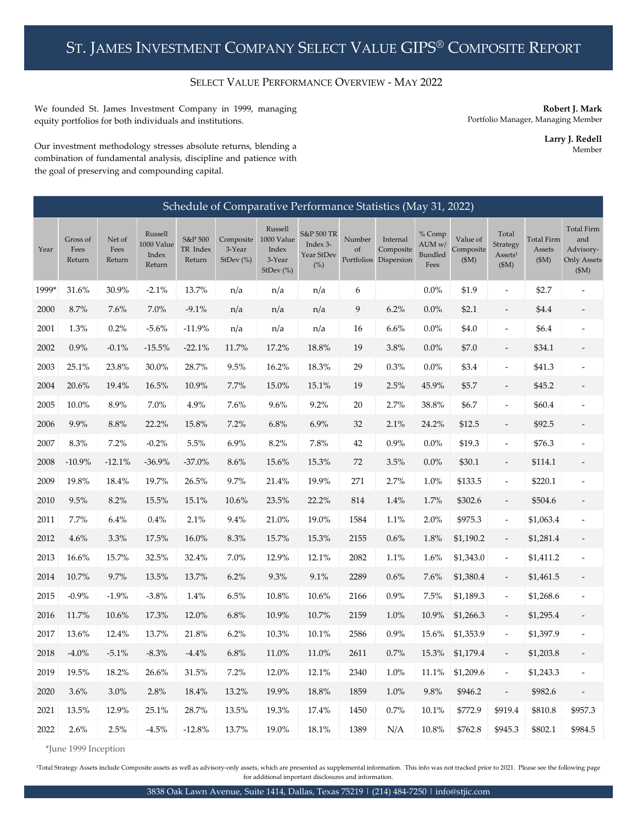## SELECT VALUE PERFORMANCE OVERVIEW - MAY 2022

We founded St. James Investment Company in 1999, managing equity portfolios for both individuals and institutions.

**Robert J. Mark** Portfolio Manager, Managing Member

> **Larry J. Redell** Member

Our investment methodology stresses absolute returns, blending a combination of fundamental analysis, discipline and patience with the goal of preserving and compounding capital.

| Schedule of Comparative Performance Statistics (May 31, 2022) |                            |                          |                                          |                               |                                     |                                                       |                                                |              |                                                |                                     |                                |                                                   |                                      |                                                                      |
|---------------------------------------------------------------|----------------------------|--------------------------|------------------------------------------|-------------------------------|-------------------------------------|-------------------------------------------------------|------------------------------------------------|--------------|------------------------------------------------|-------------------------------------|--------------------------------|---------------------------------------------------|--------------------------------------|----------------------------------------------------------------------|
| Year                                                          | Gross of<br>Fees<br>Return | Net of<br>Fees<br>Return | Russell<br>1000 Value<br>Index<br>Return | S&P 500<br>TR Index<br>Return | Composite<br>3-Year<br>StDev $(\%)$ | Russell<br>1000 Value<br>Index<br>3-Year<br>StDev (%) | S&P 500 TR<br>Index 3-<br>Year StDev<br>$(\%)$ | Number<br>of | Internal<br>Composite<br>Portfolios Dispersion | % Comp<br>AUM w/<br>Bundled<br>Fees | Value of<br>Composite<br>(\$M) | Total<br>Strategy<br>Assets <sup>1</sup><br>(\$M) | <b>Total Firm</b><br>Assets<br>(\$M) | <b>Total Firm</b><br>and<br>Advisory-<br><b>Only Assets</b><br>\$M\$ |
| 1999*                                                         | 31.6%                      | 30.9%                    | $-2.1%$                                  | 13.7%                         | n/a                                 | n/a                                                   | n/a                                            | 6            |                                                | 0.0%                                | \$1.9                          | ÷,                                                | \$2.7                                | ÷,                                                                   |
| 2000                                                          | 8.7%                       | 7.6%                     | 7.0%                                     | $-9.1%$                       | n/a                                 | n/a                                                   | n/a                                            | 9            | 6.2%                                           | 0.0%                                | \$2.1                          | $\overline{\phantom{0}}$                          | \$4.4                                | $\overline{\phantom{a}}$                                             |
| 2001                                                          | 1.3%                       | 0.2%                     | $-5.6%$                                  | $-11.9%$                      | n/a                                 | n/a                                                   | n/a                                            | 16           | 6.6%                                           | 0.0%                                | \$4.0                          | $\overline{\phantom{a}}$                          | \$6.4                                |                                                                      |
| 2002                                                          | $0.9\%$                    | $-0.1%$                  | $-15.5%$                                 | $-22.1%$                      | 11.7%                               | 17.2%                                                 | 18.8%                                          | 19           | $3.8\%$                                        | 0.0%                                | \$7.0                          | $\overline{\phantom{0}}$                          | \$34.1                               |                                                                      |
| 2003                                                          | 25.1%                      | 23.8%                    | 30.0%                                    | 28.7%                         | 9.5%                                | 16.2%                                                 | 18.3%                                          | 29           | 0.3%                                           | $0.0\%$                             | \$3.4                          | ÷,                                                | \$41.3                               |                                                                      |
| 2004                                                          | 20.6%                      | 19.4%                    | 16.5%                                    | 10.9%                         | 7.7%                                | 15.0%                                                 | 15.1%                                          | 19           | 2.5%                                           | 45.9%                               | \$5.7                          | $\overline{\phantom{0}}$                          | \$45.2                               |                                                                      |
| 2005                                                          | 10.0%                      | $8.9\%$                  | $7.0\%$                                  | $4.9\%$                       | 7.6%                                | $9.6\%$                                               | 9.2%                                           | 20           | 2.7%                                           | 38.8%                               | \$6.7                          | ÷,                                                | \$60.4                               |                                                                      |
| 2006                                                          | 9.9%                       | $8.8\%$                  | 22.2%                                    | $15.8\%$                      | 7.2%                                | $6.8\%$                                               | 6.9%                                           | 32           | 2.1%                                           | 24.2%                               | \$12.5                         | $\overline{\phantom{0}}$                          | \$92.5                               |                                                                      |
| 2007                                                          | 8.3%                       | 7.2%                     | $-0.2%$                                  | 5.5%                          | 6.9%                                | 8.2%                                                  | 7.8%                                           | 42           | 0.9%                                           | 0.0%                                | \$19.3                         | $\overline{\phantom{a}}$                          | \$76.3                               |                                                                      |
| 2008                                                          | $-10.9%$                   | $-12.1%$                 | $-36.9%$                                 | $-37.0%$                      | 8.6%                                | 15.6%                                                 | 15.3%                                          | 72           | 3.5%                                           | 0.0%                                | \$30.1                         | $\overline{\phantom{0}}$                          | \$114.1                              |                                                                      |
| 2009                                                          | 19.8%                      | 18.4%                    | 19.7%                                    | 26.5%                         | 9.7%                                | 21.4%                                                 | 19.9%                                          | 271          | 2.7%                                           | 1.0%                                | \$133.5                        | $\overline{a}$                                    | \$220.1                              |                                                                      |
| 2010                                                          | 9.5%                       | 8.2%                     | 15.5%                                    | 15.1%                         | 10.6%                               | 23.5%                                                 | 22.2%                                          | 814          | $1.4\%$                                        | 1.7%                                | \$302.6                        |                                                   | \$504.6                              |                                                                      |
| 2011                                                          | 7.7%                       | $6.4\%$                  | $0.4\%$                                  | 2.1%                          | 9.4%                                | 21.0%                                                 | 19.0%                                          | 1584         | 1.1%                                           | 2.0%                                | \$975.3                        | $\overline{\phantom{a}}$                          | \$1,063.4                            | $\overline{a}$                                                       |
| 2012                                                          | $4.6\%$                    | 3.3%                     | 17.5%                                    | $16.0\%$                      | $8.3\%$                             | 15.7%                                                 | 15.3%                                          | 2155         | 0.6%                                           | 1.8%                                | \$1,190.2                      | $\overline{\phantom{a}}$                          | \$1,281.4                            |                                                                      |
| 2013                                                          | 16.6%                      | 15.7%                    | 32.5%                                    | 32.4%                         | 7.0%                                | 12.9%                                                 | 12.1%                                          | 2082         | 1.1%                                           | 1.6%                                | \$1,343.0                      | $\overline{\phantom{a}}$                          | \$1,411.2                            |                                                                      |
| 2014                                                          | 10.7%                      | 9.7%                     | 13.5%                                    | 13.7%                         | 6.2%                                | $9.3\%$                                               | 9.1%                                           | 2289         | $0.6\%$                                        | 7.6%                                | \$1,380.4                      | $\overline{\phantom{0}}$                          | \$1,461.5                            | $\overline{\phantom{a}}$                                             |
| 2015                                                          | $-0.9\%$                   | $-1.9%$                  | $-3.8%$                                  | 1.4%                          | $6.5\%$                             | 10.8%                                                 | 10.6%                                          | 2166         | $0.9\%$                                        | 7.5%                                | \$1,189.3                      | $\overline{a}$                                    | \$1,268.6                            |                                                                      |
| 2016                                                          | 11.7%                      | $10.6\%$                 | 17.3%                                    | 12.0%                         | 6.8%                                | 10.9%                                                 | 10.7%                                          | 2159         | 1.0%                                           | 10.9%                               | \$1,266.3                      |                                                   | \$1,295.4                            |                                                                      |
| 2017                                                          | 13.6%                      | 12.4%                    | 13.7%                                    | 21.8%                         | 6.2%                                | $10.3\%$                                              | 10.1%                                          | 2586         | 0.9%                                           | 15.6%                               | \$1,353.9                      | $\overline{\phantom{a}}$                          | \$1,397.9                            | $\overline{a}$                                                       |
| 2018                                                          | $-4.0\%$                   | $-5.1%$                  | $-8.3\%$                                 | $-4.4%$                       | 6.8%                                | $11.0\%$                                              | $11.0\%$                                       | 2611         | 0.7%                                           | 15.3%                               | \$1,179.4                      | $\overline{\phantom{0}}$                          | \$1,203.8                            |                                                                      |
| 2019                                                          | 19.5%                      | 18.2%                    | 26.6%                                    | 31.5%                         | 7.2%                                | 12.0%                                                 | 12.1%                                          | 2340         | 1.0%                                           | 11.1%                               | \$1,209.6                      | $\overline{\phantom{a}}$                          | \$1,243.3                            |                                                                      |
| 2020                                                          | 3.6%                       | 3.0%                     | 2.8%                                     | 18.4%                         | 13.2%                               | 19.9%                                                 | $18.8\%$                                       | 1859         | 1.0%                                           | 9.8%                                | \$946.2                        | $\overline{a}$                                    | \$982.6                              | $\overline{a}$                                                       |
| 2021                                                          | 13.5%                      | 12.9%                    | 25.1%                                    | 28.7%                         | 13.5%                               | 19.3%                                                 | 17.4%                                          | 1450         | $0.7\%$                                        | 10.1%                               | \$772.9                        | \$919.4                                           | \$810.8                              | \$957.3                                                              |
| 2022                                                          | 2.6%                       | 2.5%                     | $-4.5%$                                  | $-12.8%$                      | 13.7%                               | 19.0%                                                 | 18.1%                                          | 1389         | N/A                                            | 10.8%                               | \$762.8                        | \$945.3                                           | \$802.1                              | \$984.5                                                              |

\*June 1999 Inception

<sup>1</sup>Total Strategy Assets include Composite assets as well as advisory-only assets, which are presented as supplemental information. This info was not tracked prior to 2021. Please see the following page for additional important disclosures and information.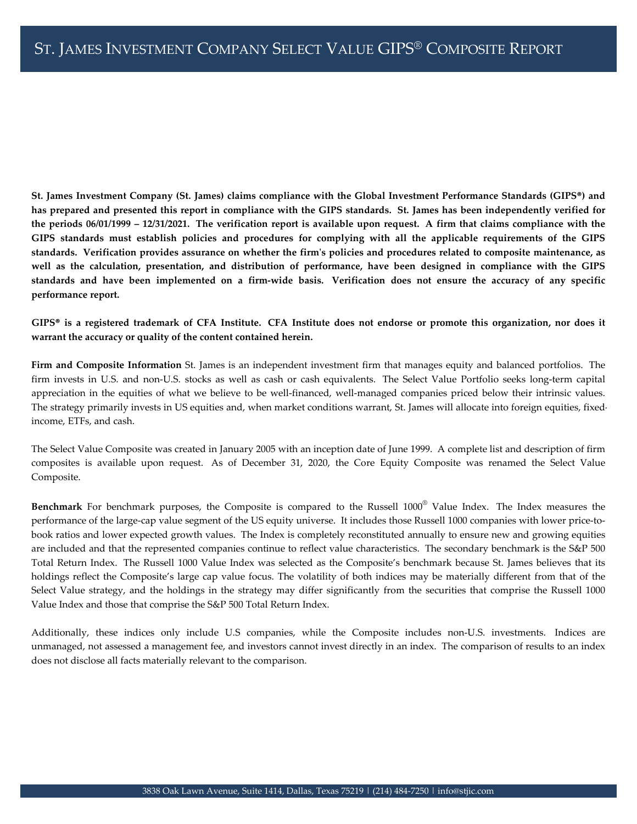St. James Investment Company (St. James) claims compliance with the Global Investment Performance Standards (GIPS®) and has prepared and presented this report in compliance with the GIPS standards. St. James has been independently verified for the periods  $06/01/1999 - 12/31/2021$ . The verification report is available upon request. A firm that claims compliance with the GIPS standards must establish policies and procedures for complying with all the applicable requirements of the GIPS standards. Verification provides assurance on whether the firm's policies and procedures related to composite maintenance, as well as the calculation, presentation, and distribution of performance, have been designed in compliance with the GIPS standards and have been implemented on a firm-wide basis. Verification does not ensure the accuracy of any specific **performance report.**

GIPS® is a registered trademark of CFA Institute. CFA Institute does not endorse or promote this organization, nor does it **warrant the accuracy or quality of the content contained herein.**

**Firm and Composite Information** St. James is an independent investment firm that manages equity and balanced portfolios. The firm invests in U.S. and non-U.S. stocks as well as cash or cash equivalents. The Select Value Portfolio seeks long-term capital appreciation in the equities of what we believe to be well-financed, well-managed companies priced below their intrinsic values. The strategy primarily invests in US equities and, when market conditions warrant, St. James will allocate into foreign equities, fixedincome, ETFs, and cash.

The Select Value Composite was created in January 2005 with an inception date of June 1999. A complete list and description of firm composites is available upon request. As of December 31, 2020, the Core Equity Composite was renamed the Select Value Composite.

**Benchmark** For benchmark purposes, the Composite is compared to the Russell 1000® Value Index. The Index measures the performance of the large-cap value segment of the US equity universe. It includes those Russell 1000 companies with lower price-tobook ratios and lower expected growth values. The Index is completely reconstituted annually to ensure new and growing equities are included and that the represented companies continue to reflect value characteristics. The secondary benchmark is the S&P 500 Total Return Index. The Russell 1000 Value Index was selected as the Composite's benchmark because St. James believes that its holdings reflect the Composite's large cap value focus. The volatility of both indices may be materially different from that of the Select Value strategy, and the holdings in the strategy may differ significantly from the securities that comprise the Russell 1000 Value Index and those that comprise the S&P 500 Total Return Index.

Additionally, these indices only include U.S companies, while the Composite includes non-U.S. investments. Indices are unmanaged, not assessed a management fee, and investors cannot invest directly in an index. The comparison of results to an index does not disclose all facts materially relevant to the comparison.